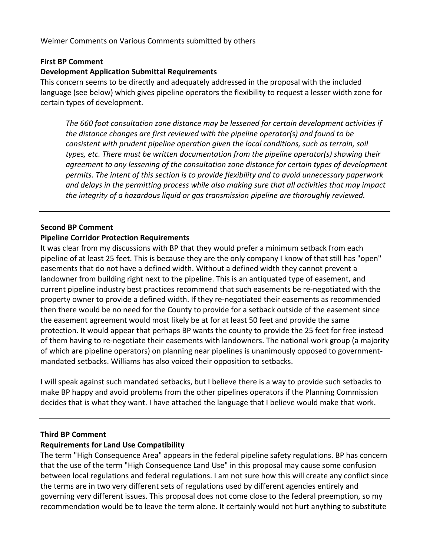Weimer
Comments
on
Various
Comments
submitted
by
others

### **First
BP
Comment**

### **Development
Application
Submittal
Requirements**

This concern seems to be directly and adequately addressed in the proposal with the included language (see below) which gives pipeline operators the flexibility to request a lesser width zone for certain
types
of
development.

The 660 foot consultation zone distance may be lessened for certain development activities if the distance changes are first reviewed with the pipeline operator(s) and found to be consistent with prudent pipeline operation given the local conditions, such as terrain, soil types, etc. There must be written documentation from the pipeline operator(s) showing their agreement to any lessening of the consultation zone distance for certain types of development permits. The intent of this section is to provide flexibility and to avoid unnecessary paperwork and delays in the permitting process while also making sure that all activities that may impact the integrity of a hazardous liquid or gas transmission pipeline are thoroughly reviewed.

### **Second
BP
Comment**

### **Pipeline
Corridor
Protection
Requirements**

It was clear from my discussions with BP that they would prefer a minimum setback from each pipeline of at least 25 feet. This is because they are the only company I know of that still has "open" easements that do not have a defined width. Without a defined width they cannot prevent a landowner from building right next to the pipeline. This is an antiquated type of easement, and current pipeline industry best practices recommend that such easements be re-negotiated with the property owner to provide a defined width. If they re-negotiated their easements as recommended then there would be no need for the County to provide for a setback outside of the easement since the easement agreement would most likely be at for at least 50 feet and provide the same protection.
It
would
appear
that
perhaps
BP
wants
the
county
to
provide
the
25
feet
for
free
instead of them having to re-negotiate their easements with landowners. The national work group (a majority of which are pipeline operators) on planning near pipelines is unanimously opposed to governmentmandated
setbacks.
Williams
has
also
voiced
their
opposition
to
setbacks.

I will speak against such mandated setbacks, but I believe there is a way to provide such setbacks to make BP happy and avoid problems from the other pipelines operators if the Planning Commission decides that is what they want. I have attached the language that I believe would make that work.

## **Third
BP
Comment**

## **Requirements
for
Land
Use
Compatibility**

The term "High Consequence Area" appears in the federal pipeline safety regulations. BP has concern that the use of the term "High Consequence Land Use" in this proposal may cause some confusion between local regulations and federal regulations. I am not sure how this will create any conflict since the terms are in two very different sets of regulations used by different agencies entirely and governing very different issues. This proposal does not come close to the federal preemption, so my recommendation would be to leave the term alone. It certainly would not hurt anything to substitute